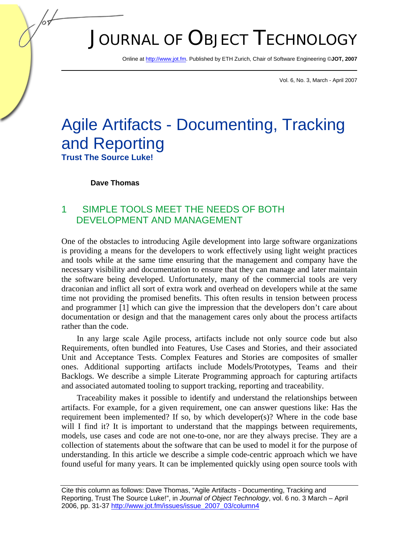# JOURNAL OF OBJECT TECHNOLOGY

Online at http://www.jot.fm. Published by ETH Zurich, Chair of Software Engineering ©**JOT, 2007** 

Vol. 6, No. 3, March - April 2007

## Agile Artifacts - Documenting, Tracking and Reporting **Trust The Source Luke!**

#### **Dave Thomas**

## 1 SIMPLE TOOLS MEET THE NEEDS OF BOTH DEVELOPMENT AND MANAGEMENT

One of the obstacles to introducing Agile development into large software organizations is providing a means for the developers to work effectively using light weight practices and tools while at the same time ensuring that the management and company have the necessary visibility and documentation to ensure that they can manage and later maintain the software being developed. Unfortunately, many of the commercial tools are very draconian and inflict all sort of extra work and overhead on developers while at the same time not providing the promised benefits. This often results in tension between process and programmer [1] which can give the impression that the developers don't care about documentation or design and that the management cares only about the process artifacts rather than the code.

In any large scale Agile process, artifacts include not only source code but also Requirements, often bundled into Features, Use Cases and Stories, and their associated Unit and Acceptance Tests. Complex Features and Stories are composites of smaller ones. Additional supporting artifacts include Models/Prototypes, Teams and their Backlogs. We describe a simple Literate Programming approach for capturing artifacts and associated automated tooling to support tracking, reporting and traceability.

Traceability makes it possible to identify and understand the relationships between artifacts. For example, for a given requirement, one can answer questions like: Has the requirement been implemented? If so, by which developer(s)? Where in the code base will I find it? It is important to understand that the mappings between requirements, models, use cases and code are not one-to-one, nor are they always precise. They are a collection of statements about the software that can be used to model it for the purpose of understanding. In this article we describe a simple code-centric approach which we have found useful for many years. It can be implemented quickly using open source tools with

Cite this column as follows: Dave Thomas, "Agile Artifacts - Documenting, Tracking and Reporting, Trust The Source Luke!", in *Journal of Object Technology*, vol. 6 no. 3 March – April 2006, pp. 31-37 http://www.jot.fm/issues/issue\_2007\_03/column4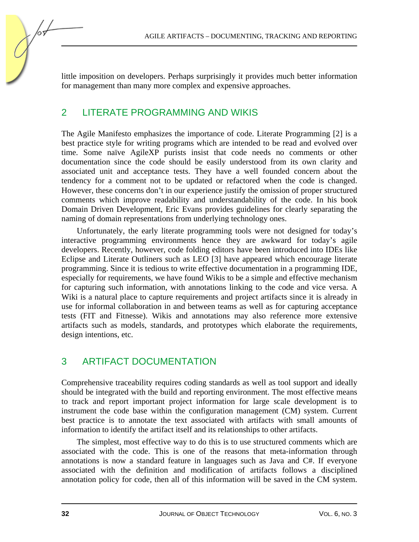little imposition on developers. Perhaps surprisingly it provides much better information for management than many more complex and expensive approaches.

## 2 LITERATE PROGRAMMING AND WIKIS

The Agile Manifesto emphasizes the importance of code. Literate Programming [2] is a best practice style for writing programs which are intended to be read and evolved over time. Some naïve AgileXP purists insist that code needs no comments or other documentation since the code should be easily understood from its own clarity and associated unit and acceptance tests. They have a well founded concern about the tendency for a comment not to be updated or refactored when the code is changed. However, these concerns don't in our experience justify the omission of proper structured comments which improve readability and understandability of the code. In his book Domain Driven Development, Eric Evans provides guidelines for clearly separating the naming of domain representations from underlying technology ones.

Unfortunately, the early literate programming tools were not designed for today's interactive programming environments hence they are awkward for today's agile developers. Recently, however, code folding editors have been introduced into IDEs like Eclipse and Literate Outliners such as LEO [3] have appeared which encourage literate programming. Since it is tedious to write effective documentation in a programming IDE, especially for requirements, we have found Wikis to be a simple and effective mechanism for capturing such information, with annotations linking to the code and vice versa. A Wiki is a natural place to capture requirements and project artifacts since it is already in use for informal collaboration in and between teams as well as for capturing acceptance tests (FIT and Fitnesse). Wikis and annotations may also reference more extensive artifacts such as models, standards, and prototypes which elaborate the requirements, design intentions, etc.

## 3 ARTIFACT DOCUMENTATION

Comprehensive traceability requires coding standards as well as tool support and ideally should be integrated with the build and reporting environment. The most effective means to track and report important project information for large scale development is to instrument the code base within the configuration management (CM) system. Current best practice is to annotate the text associated with artifacts with small amounts of information to identify the artifact itself and its relationships to other artifacts.

The simplest, most effective way to do this is to use structured comments which are associated with the code. This is one of the reasons that meta-information through annotations is now a standard feature in languages such as Java and C#. If everyone associated with the definition and modification of artifacts follows a disciplined annotation policy for code, then all of this information will be saved in the CM system.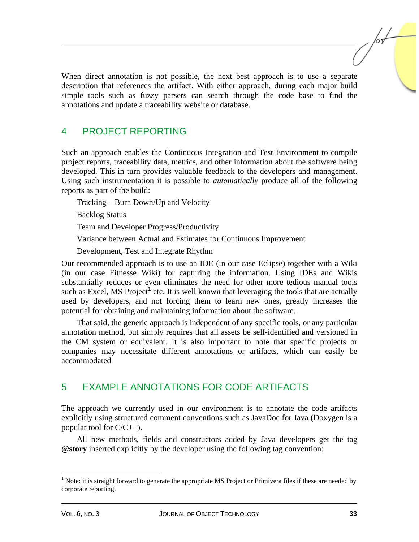When direct annotation is not possible, the next best approach is to use a separate description that references the artifact. With either approach, during each major build simple tools such as fuzzy parsers can search through the code base to find the annotations and update a traceability website or database.

## 4 PROJECT REPORTING

Such an approach enables the Continuous Integration and Test Environment to compile project reports, traceability data, metrics, and other information about the software being developed. This in turn provides valuable feedback to the developers and management. Using such instrumentation it is possible to *automatically* produce all of the following reports as part of the build:

Tracking – Burn Down/Up and Velocity

Backlog Status

Team and Developer Progress/Productivity

Variance between Actual and Estimates for Continuous Improvement

Development, Test and Integrate Rhythm

Our recommended approach is to use an IDE (in our case Eclipse) together with a Wiki (in our case Fitnesse Wiki) for capturing the information. Using IDEs and Wikis substantially reduces or even eliminates the need for other more tedious manual tools such as Excel, MS Project<sup>1</sup> etc. It is well known that leveraging the tools that are actually used by developers, and not forcing them to learn new ones, greatly increases the potential for obtaining and maintaining information about the software.

That said, the generic approach is independent of any specific tools, or any particular annotation method, but simply requires that all assets be self-identified and versioned in the CM system or equivalent. It is also important to note that specific projects or companies may necessitate different annotations or artifacts, which can easily be accommodated

## 5 EXAMPLE ANNOTATIONS FOR CODE ARTIFACTS

The approach we currently used in our environment is to annotate the code artifacts explicitly using structured comment conventions such as JavaDoc for Java (Doxygen is a popular tool for  $C/C_{++}$ ).

All new methods, fields and constructors added by Java developers get the tag **@story** inserted explicitly by the developer using the following tag convention:

l

 $<sup>1</sup>$  Note: it is straight forward to generate the appropriate MS Project or Primivera files if these are needed by</sup> corporate reporting.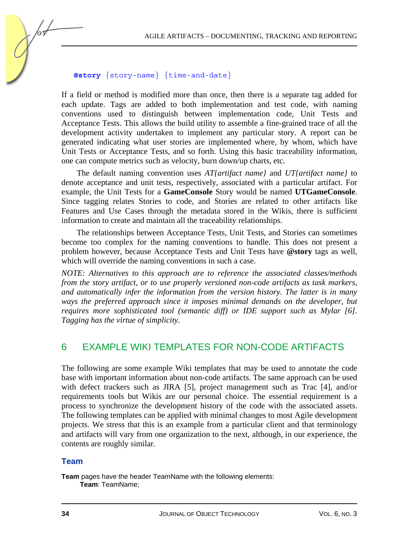#### **@story** {story-name} {time-and-date}

If a field or method is modified more than once, then there is a separate tag added for each update. Tags are added to both implementation and test code, with naming conventions used to distinguish between implementation code, Unit Tests and Acceptance Tests. This allows the build utility to assemble a fine-grained trace of all the development activity undertaken to implement any particular story. A report can be generated indicating what user stories are implemented where, by whom, which have Unit Tests or Acceptance Tests, and so forth. Using this basic traceability information, one can compute metrics such as velocity, burn down/up charts, etc.

The default naming convention uses *AT{artifact name}* and *UT{artifact name}* to denote acceptance and unit tests, respectively, associated with a particular artifact. For example, the Unit Tests for a **GameConsole** Story would be named **UTGameConsole**. Since tagging relates Stories to code, and Stories are related to other artifacts like Features and Use Cases through the metadata stored in the Wikis, there is sufficient information to create and maintain all the traceability relationships.

The relationships between Acceptance Tests, Unit Tests, and Stories can sometimes become too complex for the naming conventions to handle. This does not present a problem however, because Acceptance Tests and Unit Tests have **@story** tags as well, which will override the naming conventions in such a case.

*NOTE: Alternatives to this approach are to reference the associated classes/methods from the story artifact, or to use properly versioned non-code artifacts as task markers, and automatically infer the information from the version history. The latter is in many*  ways the preferred approach since it imposes minimal demands on the developer, but *requires more sophisticated tool (semantic diff) or IDE support such as Mylar [6]. Tagging has the virtue of simplicity.* 

### 6 EXAMPLE WIKI TEMPLATES FOR NON-CODE ARTIFACTS

The following are some example Wiki templates that may be used to annotate the code base with important information about non-code artifacts. The same approach can be used with defect trackers such as JIRA [5], project management such as Trac [4], and/or requirements tools but Wikis are our personal choice. The essential requirement is a process to synchronize the development history of the code with the associated assets. The following templates can be applied with minimal changes to most Agile development projects. We stress that this is an example from a particular client and that terminology and artifacts will vary from one organization to the next, although, in our experience, the contents are roughly similar.

#### **Team**

**Team** pages have the header TeamName with the following elements: **Team**: TeamName;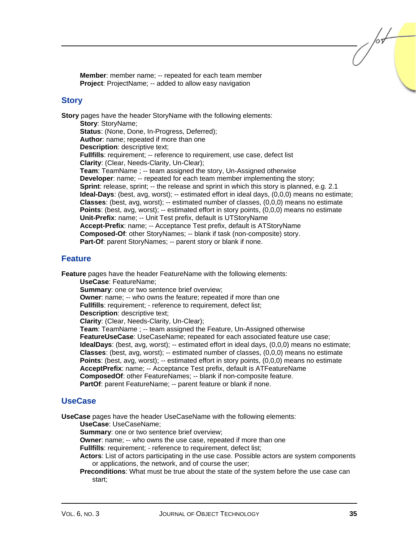**Member**: member name; -- repeated for each team member **Project:** ProjectName; -- added to allow easy navigation

#### **Story**

**Story** pages have the header StoryName with the following elements: **Story**: StoryName; **Status**: (None, Done, In-Progress, Deferred); **Author**: name; repeated if more than one **Description**: descriptive text; **Fullfills**: requirement; -- reference to requirement, use case, defect list **Clarity**: (Clear, Needs-Clarity, Un-Clear); **Team**: TeamName ; -- team assigned the story, Un-Assigned otherwise **Developer:** name; -- repeated for each team member implementing the story; **Sprint**: release, sprint; -- the release and sprint in which this story is planned, e.g. 2.1 **Ideal-Days**: (best, avg, worst); -- estimated effort in ideal days, (0,0,0) means no estimate; **Classes**: (best, avg, worst); -- estimated number of classes, (0,0,0) means no estimate **Points**: (best, avg, worst); -- estimated effort in story points, (0,0,0) means no estimate **Unit-Prefix**: name; -- Unit Test prefix, default is UTStoryName **Accept-Prefix**: name; -- Acceptance Test prefix, default is ATStoryName **Composed-Of**: other StoryNames; -- blank if task (non-composite) story. **Part-Of**: parent StoryNames; -- parent story or blank if none.

#### **Feature**

**Feature** pages have the header FeatureName with the following elements:

**UseCase**: FeatureName; **Summary:** one or two sentence brief overview; **Owner**: name; -- who owns the feature; repeated if more than one **Fullfills**: requirement; - reference to requirement, defect list; **Description**: descriptive text; **Clarity**: (Clear, Needs-Clarity, Un-Clear); **Team**: TeamName ; -- team assigned the Feature, Un-Assigned otherwise **FeatureUseCase**: UseCaseName; repeated for each associated feature use case; **IdealDays**: (best, avg, worst); -- estimated effort in ideal days, (0,0,0) means no estimate; **Classes**: (best, avg, worst); -- estimated number of classes, (0,0,0) means no estimate **Points**: (best, avg, worst); -- estimated effort in story points, (0,0,0) means no estimate **AcceptPrefix**: name; -- Acceptance Test prefix, default is ATFeatureName **ComposedOf**: other FeatureNames; -- blank if non-composite feature. **PartOf**: parent FeatureName; -- parent feature or blank if none.

#### **UseCase**

**UseCase** pages have the header UseCaseName with the following elements:

**UseCase**: UseCaseName;

**Summary:** one or two sentence brief overview;

**Owner:** name; -- who owns the use case, repeated if more than one

**Fullfills**: requirement; - reference to requirement, defect list;

**Actors**: List of actors participating in the use case. Possible actors are system components or applications, the network, and of course the user;

**Preconditions**: What must be true about the state of the system before the use case can start;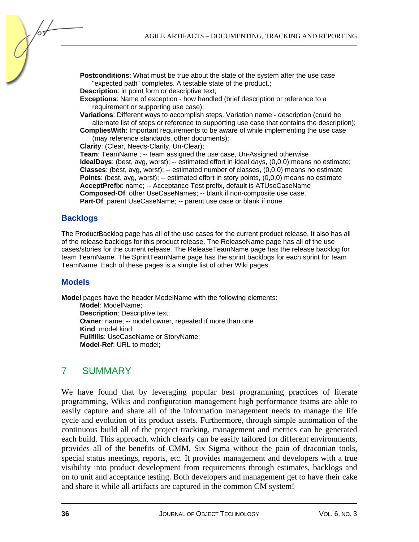**Postconditions**: What must be true about the state of the system after the use case "expected path" completes. A testable state of the product.;

**Description**: in point form or descriptive text;

**Exceptions**: Name of exception - how handled (brief description or reference to a requirement or supporting use case):

**Variations**: Different ways to accomplish steps. Variation name - description (could be alternate list of steps or reference to supporting use case that contains the description);

**CompliesWith**: Important requirements to be aware of while implementing the use case (may reference standards, other documents);

**Clarity**: (Clear, Needs-Clarity, Un-Clear);

**Team**: TeamName ; -- team assigned the use case, Un-Assigned otherwise **IdealDays**: (best, avg, worst); -- estimated effort in ideal days, (0,0,0) means no estimate; **Classes**: (best, avg, worst); -- estimated number of classes, (0,0,0) means no estimate Points: (best, avg, worst); -- estimated effort in story points, (0,0,0) means no estimate **AcceptPrefix**: name; -- Acceptance Test prefix, default is ATUseCaseName **Composed-Of**: other UseCaseNames; -- blank if non-composite use case. Part-Of: parent UseCaseName; -- parent use case or blank if none.

#### **Backlogs**

The ProductBacklog page has all of the use cases for the current product release. It also has all of the release backlogs for this product release. The ReleaseName page has all of the use cases/stories for the current release. The ReleaseTeamName page has the release backlog for team TeamName. The SprintTeamName page has the sprint backlogs for each sprint for team TeamName. Each of these pages is a simple list of other Wiki pages.

#### **Models**

**Model** pages have the header ModelName with the following elements:

**Model**: ModelName; **Description**: Descriptive text; **Owner**: name; -- model owner, repeated if more than one **Kind**: model kind; **Fullfills**: UseCaseName or StoryName; **Model-Ref**: URL to model;

#### 7 SUMMARY

We have found that by leveraging popular best programming practices of literate programming, Wikis and configuration management high performance teams are able to easily capture and share all of the information management needs to manage the life cycle and evolution of its product assets. Furthermore, through simple automation of the continuous build all of the project tracking, management and metrics can be generated each build. This approach, which clearly can be easily tailored for different environments, provides all of the benefits of CMM, Six Sigma without the pain of draconian tools, special status meetings, reports, etc. It provides management and developers with a true visibility into product development from requirements through estimates, backlogs and on to unit and acceptance testing. Both developers and management get to have their cake and share it while all artifacts are captured in the common CM system!